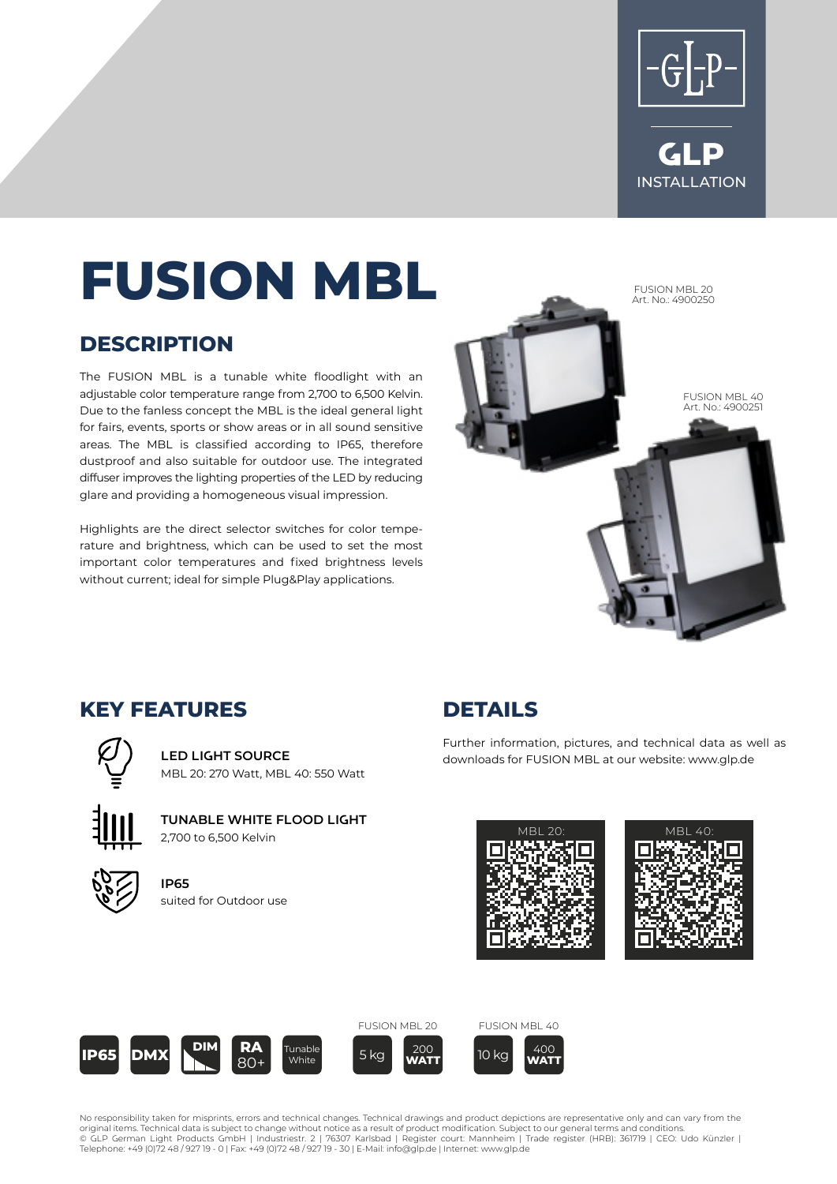



# **FUSION MBL**

#### **DESCRIPTION**

The FUSION MBL is a tunable white floodlight with an adjustable color temperature range from 2,700 to 6,500 Kelvin. Due to the fanless concept the MBL is the ideal general light for fairs, events, sports or show areas or in all sound sensitive areas. The MBL is classified according to IP65, therefore dustproof and also suitable for outdoor use. The integrated diffuser improves the lighting properties of the LED by reducing glare and providing a homogeneous visual impression.

Highlights are the direct selector switches for color temperature and brightness, which can be used to set the most important color temperatures and fixed brightness levels without current; ideal for simple Plug&Play applications.



#### **KEY FEATURES**

**LED LIGHT SOURCE** MBL 20: 270 Watt, MBL 40: 550 Watt



**TUNABLE WHITE FLOOD LIGHT** 2,700 to 6,500 Kelvin

**IP65** suited for Outdoor use



Further information, pictures, and technical data as well as downloads for FUSION MBL at our website: www.glp.de









**White** 







No responsibility taken for misprints, errors and technical changes. Technical drawings and product depictions are representative only and can vary from the<br>original items. Technical data is subject to change without notic